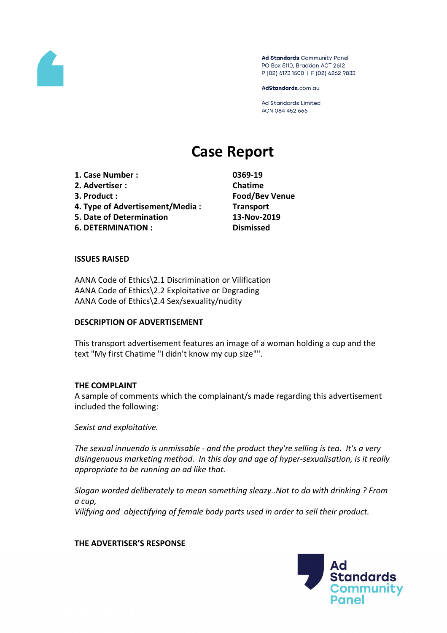

Ad Standards Community Panel PO Box 5110, Braddon ACT 2612 P (02) 6173 1500 | F (02) 6262 9833

AdStandards.com.au

**Ad Standards Limited** ACN 084 452 666

# **Case Report**

**1. Case Number : 0369-19 2. Advertiser : Chatime 3. Product : Food/Bev Venue 4. Type of Advertisement/Media : Transport 5. Date of Determination 13-Nov-2019 6. DETERMINATION : Dismissed**

## **ISSUES RAISED**

AANA Code of Ethics\2.1 Discrimination or Vilification AANA Code of Ethics\2.2 Exploitative or Degrading AANA Code of Ethics\2.4 Sex/sexuality/nudity

#### **DESCRIPTION OF ADVERTISEMENT**

This transport advertisement features an image of a woman holding a cup and the text "My first Chatime "I didn't know my cup size"".

#### **THE COMPLAINT**

A sample of comments which the complainant/s made regarding this advertisement included the following:

*Sexist and exploitative.*

*The sexual innuendo is unmissable - and the product they're selling is tea. It's a very disingenuous marketing method. In this day and age of hyper-sexualisation, is it really appropriate to be running an ad like that.*

*Slogan worded deliberately to mean something sleazy..Not to do with drinking ? From a cup, Vilifying and objectifying of female body parts used in order to sell their product.*

### **THE ADVERTISER'S RESPONSE**

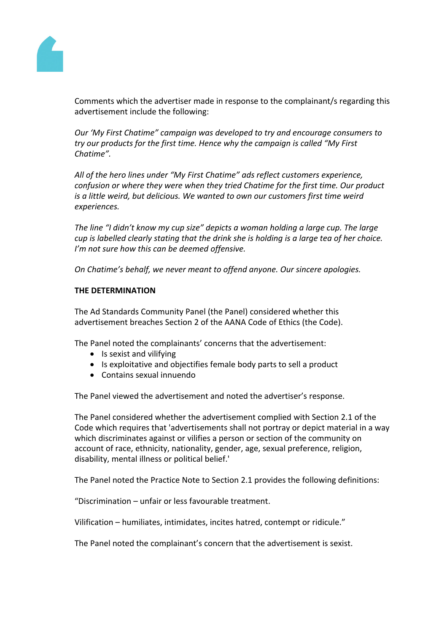

Comments which the advertiser made in response to the complainant/s regarding this advertisement include the following:

*Our 'My First Chatime" campaign was developed to try and encourage consumers to try our products for the first time. Hence why the campaign is called "My First Chatime".*

*All of the hero lines under "My First Chatime" ads reflect customers experience, confusion or where they were when they tried Chatime for the first time. Our product is a little weird, but delicious. We wanted to own our customers first time weird experiences.*

*The line "I didn't know my cup size" depicts a woman holding a large cup. The large cup is labelled clearly stating that the drink she is holding is a large tea of her choice. I'm not sure how this can be deemed offensive.*

*On Chatime's behalf, we never meant to offend anyone. Our sincere apologies.*

# **THE DETERMINATION**

The Ad Standards Community Panel (the Panel) considered whether this advertisement breaches Section 2 of the AANA Code of Ethics (the Code).

The Panel noted the complainants' concerns that the advertisement:

- Is sexist and vilifying
- Is exploitative and objectifies female body parts to sell a product
- Contains sexual innuendo

The Panel viewed the advertisement and noted the advertiser's response.

The Panel considered whether the advertisement complied with Section 2.1 of the Code which requires that 'advertisements shall not portray or depict material in a way which discriminates against or vilifies a person or section of the community on account of race, ethnicity, nationality, gender, age, sexual preference, religion, disability, mental illness or political belief.'

The Panel noted the Practice Note to Section 2.1 provides the following definitions:

"Discrimination – unfair or less favourable treatment.

Vilification – humiliates, intimidates, incites hatred, contempt or ridicule."

The Panel noted the complainant's concern that the advertisement is sexist.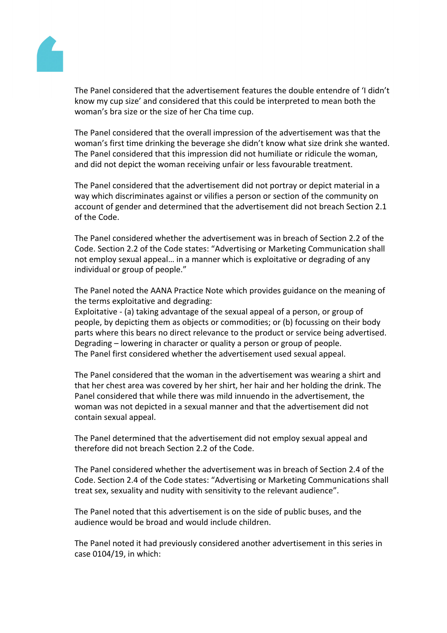

The Panel considered that the advertisement features the double entendre of 'I didn't know my cup size' and considered that this could be interpreted to mean both the woman's bra size or the size of her Cha time cup.

The Panel considered that the overall impression of the advertisement was that the woman's first time drinking the beverage she didn't know what size drink she wanted. The Panel considered that this impression did not humiliate or ridicule the woman, and did not depict the woman receiving unfair or less favourable treatment.

The Panel considered that the advertisement did not portray or depict material in a way which discriminates against or vilifies a person or section of the community on account of gender and determined that the advertisement did not breach Section 2.1 of the Code.

The Panel considered whether the advertisement was in breach of Section 2.2 of the Code. Section 2.2 of the Code states: "Advertising or Marketing Communication shall not employ sexual appeal… in a manner which is exploitative or degrading of any individual or group of people."

The Panel noted the AANA Practice Note which provides guidance on the meaning of the terms exploitative and degrading:

Exploitative - (a) taking advantage of the sexual appeal of a person, or group of people, by depicting them as objects or commodities; or (b) focussing on their body parts where this bears no direct relevance to the product or service being advertised. Degrading – lowering in character or quality a person or group of people. The Panel first considered whether the advertisement used sexual appeal.

The Panel considered that the woman in the advertisement was wearing a shirt and that her chest area was covered by her shirt, her hair and her holding the drink. The Panel considered that while there was mild innuendo in the advertisement, the woman was not depicted in a sexual manner and that the advertisement did not contain sexual appeal.

The Panel determined that the advertisement did not employ sexual appeal and therefore did not breach Section 2.2 of the Code.

The Panel considered whether the advertisement was in breach of Section 2.4 of the Code. Section 2.4 of the Code states: "Advertising or Marketing Communications shall treat sex, sexuality and nudity with sensitivity to the relevant audience".

The Panel noted that this advertisement is on the side of public buses, and the audience would be broad and would include children.

The Panel noted it had previously considered another advertisement in this series in case 0104/19, in which: